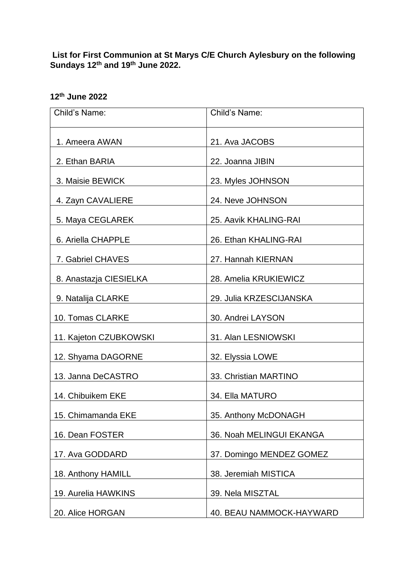**List for First Communion at St Marys C/E Church Aylesbury on the following Sundays 12th and 19th June 2022.**

| Child's Name:          | Child's Name:            |
|------------------------|--------------------------|
|                        |                          |
| 1. Ameera AWAN         | 21. Ava JACOBS           |
| 2. Ethan BARIA         | 22. Joanna JIBIN         |
| 3. Maisie BEWICK       | 23. Myles JOHNSON        |
| 4. Zayn CAVALIERE      | 24. Neve JOHNSON         |
| 5. Maya CEGLAREK       | 25. Aavik KHALING-RAI    |
| 6. Ariella CHAPPLE     | 26. Ethan KHALING-RAI    |
| 7. Gabriel CHAVES      | 27. Hannah KIERNAN       |
| 8. Anastazja CIESIELKA | 28. Amelia KRUKIEWICZ    |
| 9. Natalija CLARKE     | 29. Julia KRZESCIJANSKA  |
| 10. Tomas CLARKE       | 30. Andrei LAYSON        |
| 11. Kajeton CZUBKOWSKI | 31. Alan LESNIOWSKI      |
| 12. Shyama DAGORNE     | 32. Elyssia LOWE         |
| 13. Janna DeCASTRO     | 33. Christian MARTINO    |
| 14. Chibuikem EKE      | 34. Ella MATURO          |
| 15. Chimamanda EKE     | 35. Anthony McDONAGH     |
| 16. Dean FOSTER        | 36. Noah MELINGUI EKANGA |
| 17. Ava GODDARD        | 37. Domingo MENDEZ GOMEZ |
| 18. Anthony HAMILL     | 38. Jeremiah MISTICA     |
| 19. Aurelia HAWKINS    | 39. Nela MISZTAL         |
| 20. Alice HORGAN       | 40. BEAU NAMMOCK-HAYWARD |

## **12th June 2022**